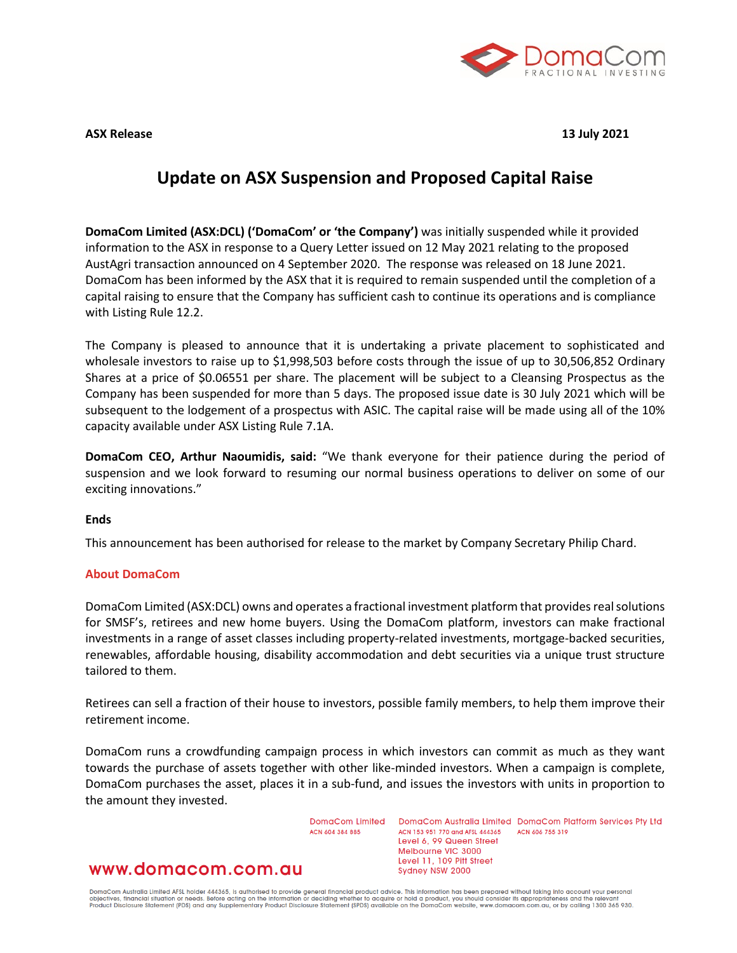

**ASX Release 13 July 2021**

# **Update on ASX Suspension and Proposed Capital Raise**

**DomaCom Limited (ASX:DCL) ('DomaCom' or 'the Company')** was initially suspended while it provided information to the ASX in response to a Query Letter issued on 12 May 2021 relating to the proposed AustAgri transaction announced on 4 September 2020. The response was released on 18 June 2021. DomaCom has been informed by the ASX that it is required to remain suspended until the completion of a capital raising to ensure that the Company has sufficient cash to continue its operations and is compliance with Listing Rule 12.2.

The Company is pleased to announce that it is undertaking a private placement to sophisticated and wholesale investors to raise up to \$1,998,503 before costs through the issue of up to 30,506,852 Ordinary Shares at a price of \$0.06551 per share. The placement will be subject to a Cleansing Prospectus as the Company has been suspended for more than 5 days. The proposed issue date is 30 July 2021 which will be subsequent to the lodgement of a prospectus with ASIC. The capital raise will be made using all of the 10% capacity available under ASX Listing Rule 7.1A.

**DomaCom CEO, Arthur Naoumidis, said:** "We thank everyone for their patience during the period of suspension and we look forward to resuming our normal business operations to deliver on some of our exciting innovations."

## **Ends**

This announcement has been authorised for release to the market by Company Secretary Philip Chard.

## **About DomaCom**

DomaCom Limited (ASX:DCL) owns and operates a fractional investment platform that provides real solutions for SMSF's, retirees and new home buyers. Using the DomaCom platform, investors can make fractional investments in a range of asset classes including property-related investments, mortgage-backed securities, renewables, affordable housing, disability accommodation and debt securities via a unique trust structure tailored to them.

Retirees can sell a fraction of their house to investors, possible family members, to help them improve their retirement income.

DomaCom runs a crowdfunding campaign process in which investors can commit as much as they want towards the purchase of assets together with other like-minded investors. When a campaign is complete, DomaCom purchases the asset, places it in a sub-fund, and issues the investors with units in proportion to the amount they invested.

ACN 604 384 885

www.domacom.com.au

DomaCom Limited DomaCom Australia Limited DomaCom Platform Services Pty Ltd ACN 153 951 770 and AFSL 444365 ACN 606 755 319 Level 6, 99 Queen Street Melbourne VIC 3000 Level 11, 109 Pitt Street Sydney NSW 2000

DomaCom Australia Limited AFSL holder 444365, is authorised to provide general financial product advice. This information has been prepared without taking into account your personal<br>objectives, financial situation or needs